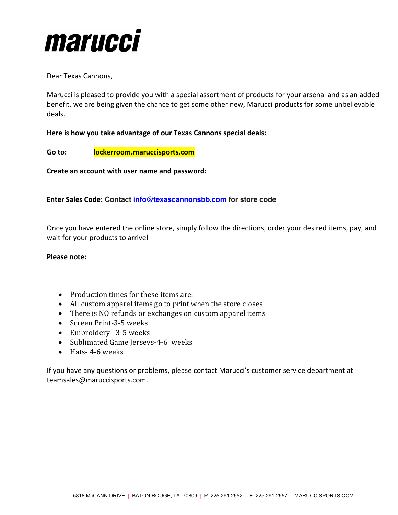

Dear Texas Cannons,

Marucci is pleased to provide you with a special assortment of products for your arsenal and as an added benefit, we are being given the chance to get some other new, Marucci products for some unbelievable deals.

# **Here is how you take advantage of our Texas Cannons special deals:**

**Go to: lockerroom.maruccisports.com**

**Create an account with user name and password:**

**Enter Sales Code: Contact info@texascannonsbb.com for store code**

Once you have entered the online store, simply follow the directions, order your desired items, pay, and wait for your products to arrive!

## **Please note:**

- Production times for these items are:
- All custom apparel items go to print when the store closes
- There is NO refunds or exchanges on custom apparel items
- Screen Print-3-5 weeks
- Embroidery– 3-5 weeks
- Sublimated Game Jerseys-4-6 weeks
- Hats- 4-6 weeks

If you have any questions or problems, please contact Marucci's customer service department at teamsales@maruccisports.com.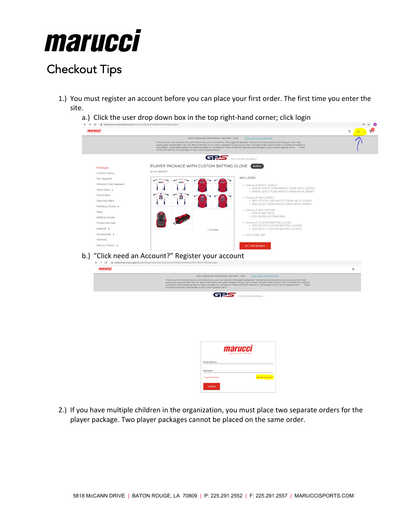

# Checkout Tips

- 1.) You must register an account before you can place your first order. The first time you enter the site.
	- a.) Click the user drop down box in the top right-hand corner; click login

| marucci                                                                                                                                                                                                                                                            |                                                                                                                                                                                                                                                                                                                                                                                                                                                                                                                                                                                                | Q |
|--------------------------------------------------------------------------------------------------------------------------------------------------------------------------------------------------------------------------------------------------------------------|------------------------------------------------------------------------------------------------------------------------------------------------------------------------------------------------------------------------------------------------------------------------------------------------------------------------------------------------------------------------------------------------------------------------------------------------------------------------------------------------------------------------------------------------------------------------------------------------|---|
|                                                                                                                                                                                                                                                                    | NEXT DEADLINE: WEDNESDAY, JANUARY 1, 2020<br>HIDE WELCOME MESSAGE<br>Thank you for choosing Marucci, and welcome to your online store, GPS Legends Baseball! We are looking forward to providing you with high<br>quality gear and excellent service! #HonortheGame All custom apparel will go to print when the sale closes. Custom items will take 2-4 weeks for<br>completion. Sublimated jerseys will take 4+6 weeks for completion. There will be NO refunds or exchanges on any custom apparel items. There<br>will be NO refunds or exchanges on any custom apparel items.              |   |
|                                                                                                                                                                                                                                                                    | GRS GPS LEGENDS BASEBALL                                                                                                                                                                                                                                                                                                                                                                                                                                                                                                                                                                       |   |
| Packages<br>Uniform Items<br>Fan Apparel<br>Women's Fan Apparel<br>Metal Bats ><br>Wood Bats<br><b>Specialty Bats</b><br>Fielding Gloves ><br>Bags<br><b>Batting Gloves</b><br><b>Protective Gear</b><br>Apparel ><br>Accessories ><br>Helmets<br>Marucci Vision > | PLAYER PACKAGE WITH CUSTOM BATTING GLOVE BUNDLE<br>\$175.00-\$245.00<br><b>INCLUDES:</b><br>GT 25<br>• Choice of WHITE JERSEY:<br>· WHITE YOUTH SUBLIMATED CREW NECK JERSEY<br>. WHITE ADULT SUBLIMATED CREW NECK JERSEY<br>23<br>• Choice of RED JERSEY:<br>. RED YOUTH SUBLIMATED CREW NECK JERSEY<br>. RED ADULT SUBLIMATED CREW NECK JERSEY<br>• Choice of BAG OPTION:<br>· GPS F5 BAT PACK<br>· GPS WHEELED GEAR BAG<br>• Choice of CUSTOM BATTING GLOVE:<br>· GPS YOUTH CUSTOM BATTING GLOVES<br>· GPS ADULT CUSTOM BATTING GLOVES<br>+2 more<br>· GPS GAME HAT<br><b>GET THE BUNDLE</b> |   |
|                                                                                                                                                                                                                                                                    |                                                                                                                                                                                                                                                                                                                                                                                                                                                                                                                                                                                                |   |
|                                                                                                                                                                                                                                                                    |                                                                                                                                                                                                                                                                                                                                                                                                                                                                                                                                                                                                |   |
|                                                                                                                                                                                                                                                                    | "Click need an Account?" Register your account<br>← → C 自 lockerroom.maruccisports.com/#/login?returnUrl=%2Fstore%2FZ3BzbGVnZW5kcw%253D%253D%2Fbundles                                                                                                                                                                                                                                                                                                                                                                                                                                         |   |
| marucci                                                                                                                                                                                                                                                            |                                                                                                                                                                                                                                                                                                                                                                                                                                                                                                                                                                                                | Q |
|                                                                                                                                                                                                                                                                    | NEXT DEADLINE: WEDNESDAY, JANUARY 1, 2020<br>HIDE WELCOME MESSAGE<br>Thank you for choosing Marucci, and welcome to your online store, GPS Legends Baseball! We are looking forward to providing you with high<br>quality gear and excellent service! #HonortheGame All custom apparel will go to print when the sale closes. Custom items will take 2-4 weeks for<br>completion. Sublimated jerseys will take 4-6 weeks for completion. There will<br>will be NO refunds or exchanges on any custom apparel items.                                                                            |   |
|                                                                                                                                                                                                                                                                    | <b>GRS</b> GPS LEGENDS BASEBALL                                                                                                                                                                                                                                                                                                                                                                                                                                                                                                                                                                |   |
|                                                                                                                                                                                                                                                                    |                                                                                                                                                                                                                                                                                                                                                                                                                                                                                                                                                                                                |   |
|                                                                                                                                                                                                                                                                    |                                                                                                                                                                                                                                                                                                                                                                                                                                                                                                                                                                                                |   |
|                                                                                                                                                                                                                                                                    | <b>OCKER ROOM</b>                                                                                                                                                                                                                                                                                                                                                                                                                                                                                                                                                                              |   |
|                                                                                                                                                                                                                                                                    | <b>Fmail Address</b>                                                                                                                                                                                                                                                                                                                                                                                                                                                                                                                                                                           |   |
|                                                                                                                                                                                                                                                                    | Password                                                                                                                                                                                                                                                                                                                                                                                                                                                                                                                                                                                       |   |
|                                                                                                                                                                                                                                                                    | Need an Account?<br><b>Forgot Password</b>                                                                                                                                                                                                                                                                                                                                                                                                                                                                                                                                                     |   |

2.) If you have multiple children in the organization, you must place two separate orders for the player package. Two player packages cannot be placed on the same order.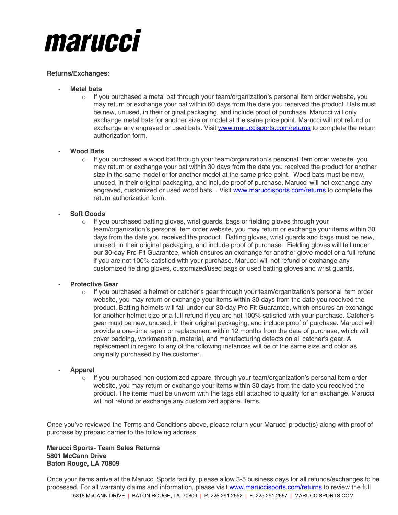

## **Returns/Exchanges:**

- **- Metal bats**
	- $\circ$  If you purchased a metal bat through your team/organization's personal item order website, you may return or exchange your bat within 60 days from the date you received the product. Bats must be new, unused, in their original packaging, and include proof of purchase. Marucci will only exchange metal bats for another size or model at the same price point. Marucci will not refund or exchange any engraved or used bats. Visit www.maruccisports.com/returns to complete the return authorization form.

## **- Wood Bats**

 $\circ$  If you purchased a wood bat through your team/organization's personal item order website, you may return or exchange your bat within 30 days from the date you received the product for another size in the same model or for another model at the same price point. Wood bats must be new, unused, in their original packaging, and include proof of purchase. Marucci will not exchange any engraved, customized or used wood bats. . Visit www.maruccisports.com/returns to complete the return authorization form.

## **- Soft Goods**

 $\circ$  If you purchased batting gloves, wrist guards, bags or fielding gloves through your team/organization's personal item order website, you may return or exchange your items within 30 days from the date you received the product. Batting gloves, wrist guards and bags must be new, unused, in their original packaging, and include proof of purchase. Fielding gloves will fall under our 30-day Pro Fit Guarantee, which ensures an exchange for another glove model or a full refund if you are not 100% satisfied with your purchase. Marucci will not refund or exchange any customized fielding gloves, customized/used bags or used batting gloves and wrist guards.

#### **- Protective Gear**

 $\circ$  If you purchased a helmet or catcher's gear through your team/organization's personal item order website, you may return or exchange your items within 30 days from the date you received the product. Batting helmets will fall under our 30-day Pro Fit Guarantee, which ensures an exchange for another helmet size or a full refund if you are not 100% satisfied with your purchase. Catcher's gear must be new, unused, in their original packaging, and include proof of purchase. Marucci will provide a one-time repair or replacement within 12 months from the date of purchase, which will cover padding, workmanship, material, and manufacturing defects on all catcher's gear. A replacement in regard to any of the following instances will be of the same size and color as originally purchased by the customer.

## **- Apparel**

 $\circ$  If you purchased non-customized apparel through your team/organization's personal item order website, you may return or exchange your items within 30 days from the date you received the product. The items must be unworn with the tags still attached to qualify for an exchange. Marucci will not refund or exchange any customized apparel items.

Once you've reviewed the Terms and Conditions above, please return your Marucci product(s) along with proof of purchase by prepaid carrier to the following address:

#### **Marucci Sports- Team Sales Returns 5801 McCann Drive Baton Rouge, LA 70809**

5818 McCANN DRIVE | BATON ROUGE, LA 70809 | P: 225.291.2552 | F: 225.291.2557 | MARUCCISPORTS.COM Once your items arrive at the Marucci Sports facility, please allow 3-5 business days for all refunds/exchanges to be processed. For all warranty claims and information, please visit www.maruccisports.com/returns to review the full